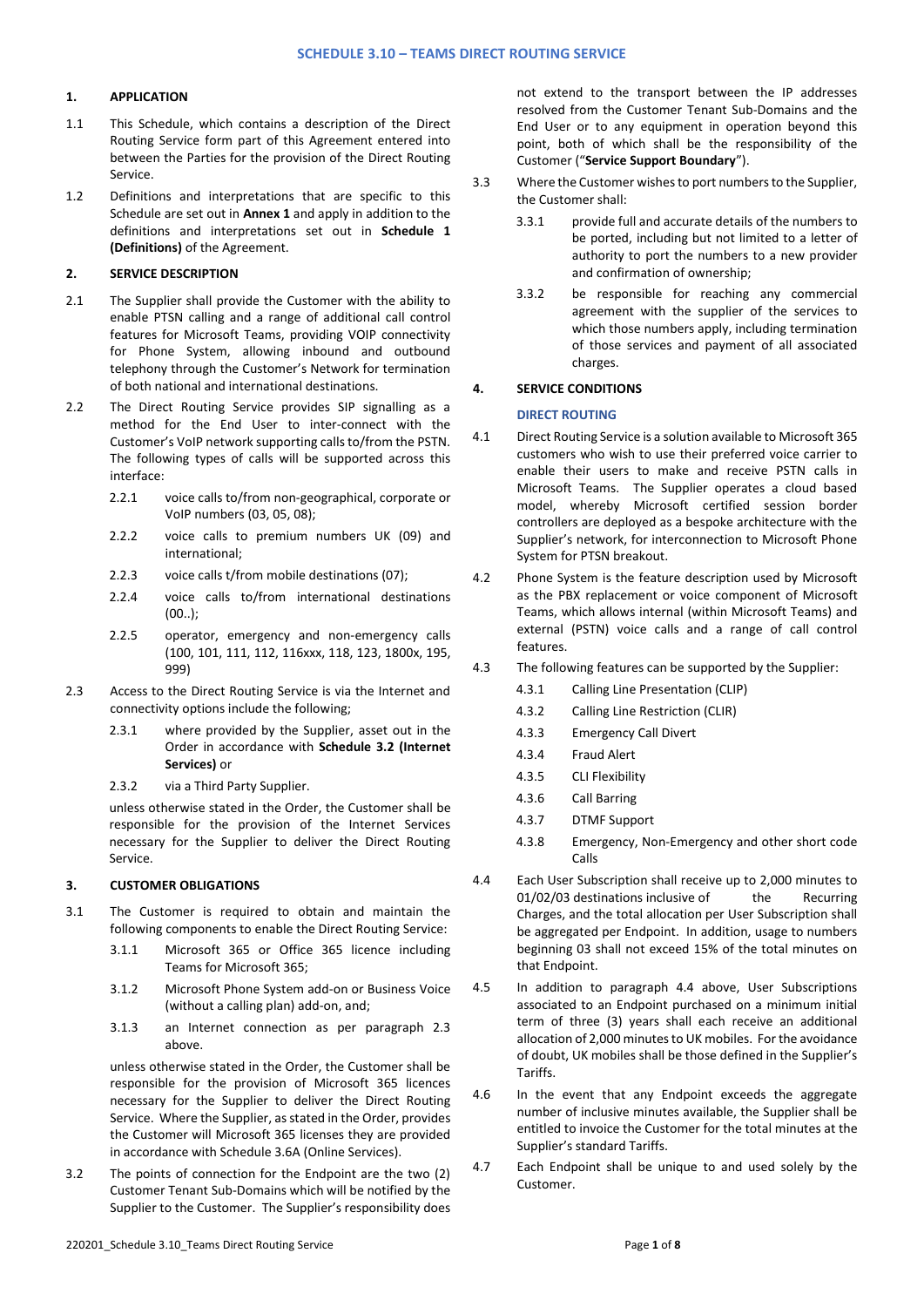# **1. APPLICATION**

- 1.1 This Schedule, which contains a description of the Direct Routing Service form part of this Agreement entered into between the Parties for the provision of the Direct Routing Service.
- 1.2 Definitions and interpretations that are specific to this Schedule are set out in **Annex 1** and apply in addition to the definitions and interpretations set out in **Schedule 1 (Definitions)** of the Agreement.

## **2. SERVICE DESCRIPTION**

- 2.1 The Supplier shall provide the Customer with the ability to enable PTSN calling and a range of additional call control features for Microsoft Teams, providing VOIP connectivity for Phone System, allowing inbound and outbound telephony through the Customer's Network for termination of both national and international destinations.
- 2.2 The Direct Routing Service provides SIP signalling as a method for the End User to inter-connect with the Customer's VoIP network supporting calls to/from the PSTN. The following types of calls will be supported across this interface:
	- 2.2.1 voice calls to/from non-geographical, corporate or VoIP numbers (03, 05, 08);
	- 2.2.2 voice calls to premium numbers UK (09) and international;
	- 2.2.3 voice calls t/from mobile destinations (07);
	- 2.2.4 voice calls to/from international destinations (00..);
	- 2.2.5 operator, emergency and non-emergency calls (100, 101, 111, 112, 116xxx, 118, 123, 1800x, 195, 999)
- 2.3 Access to the Direct Routing Service is via the Internet and connectivity options include the following;
	- 2.3.1 where provided by the Supplier, asset out in the Order in accordance with **Schedule 3.2 (Internet Services)** or
	- 2.3.2 via a Third Party Supplier.

unless otherwise stated in the Order, the Customer shall be responsible for the provision of the Internet Services necessary for the Supplier to deliver the Direct Routing Service.

## **3. CUSTOMER OBLIGATIONS**

- 3.1 The Customer is required to obtain and maintain the following components to enable the Direct Routing Service:
	- 3.1.1 Microsoft 365 or Office 365 licence including Teams for Microsoft 365;
	- 3.1.2 Microsoft Phone System add-on or Business Voice (without a calling plan) add-on, and;
	- 3.1.3 an Internet connection as per paragraph 2.3 above.

unless otherwise stated in the Order, the Customer shall be responsible for the provision of Microsoft 365 licences necessary for the Supplier to deliver the Direct Routing Service. Where the Supplier, as stated in the Order, provides the Customer will Microsoft 365 licenses they are provided in accordance with Schedule 3.6A (Online Services).

3.2 The points of connection for the Endpoint are the two (2) Customer Tenant Sub-Domains which will be notified by the Supplier to the Customer. The Supplier's responsibility does

not extend to the transport between the IP addresses resolved from the Customer Tenant Sub-Domains and the End User or to any equipment in operation beyond this point, both of which shall be the responsibility of the Customer ("**Service Support Boundary**").

- 3.3 Where the Customer wishes to port numbers to the Supplier, the Customer shall:
	- 3.3.1 provide full and accurate details of the numbers to be ported, including but not limited to a letter of authority to port the numbers to a new provider and confirmation of ownership;
	- 3.3.2 be responsible for reaching any commercial agreement with the supplier of the services to which those numbers apply, including termination of those services and payment of all associated charges.

# **4. SERVICE CONDITIONS**

# **DIRECT ROUTING**

- 4.1 Direct Routing Service is a solution available to Microsoft 365 customers who wish to use their preferred voice carrier to enable their users to make and receive PSTN calls in Microsoft Teams. The Supplier operates a cloud based model, whereby Microsoft certified session border controllers are deployed as a bespoke architecture with the Supplier's network, for interconnection to Microsoft Phone System for PTSN breakout.
- 4.2 Phone System is the feature description used by Microsoft as the PBX replacement or voice component of Microsoft Teams, which allows internal (within Microsoft Teams) and external (PSTN) voice calls and a range of call control features.
- 4.3 The following features can be supported by the Supplier:
	- 4.3.1 Calling Line Presentation (CLIP)
	- 4.3.2 Calling Line Restriction (CLIR)
	- 4.3.3 Emergency Call Divert
	- 4.3.4 Fraud Alert
	- 4.3.5 CLI Flexibility
	- 4.3.6 Call Barring
	- 4.3.7 DTMF Support
	- 4.3.8 Emergency, Non-Emergency and other short code Calls
- 4.4 Each User Subscription shall receive up to 2,000 minutes to 01/02/03 destinations inclusive of the Recurring Charges, and the total allocation per User Subscription shall be aggregated per Endpoint. In addition, usage to numbers beginning 03 shall not exceed 15% of the total minutes on that Endpoint.
- 4.5 In addition to paragraph 4.4 above, User Subscriptions associated to an Endpoint purchased on a minimum initial term of three (3) years shall each receive an additional allocation of 2,000 minutes to UK mobiles. For the avoidance of doubt, UK mobiles shall be those defined in the Supplier's Tariffs.
- 4.6 In the event that any Endpoint exceeds the aggregate number of inclusive minutes available, the Supplier shall be entitled to invoice the Customer for the total minutes at the Supplier's standard Tariffs.
- 4.7 Each Endpoint shall be unique to and used solely by the Customer.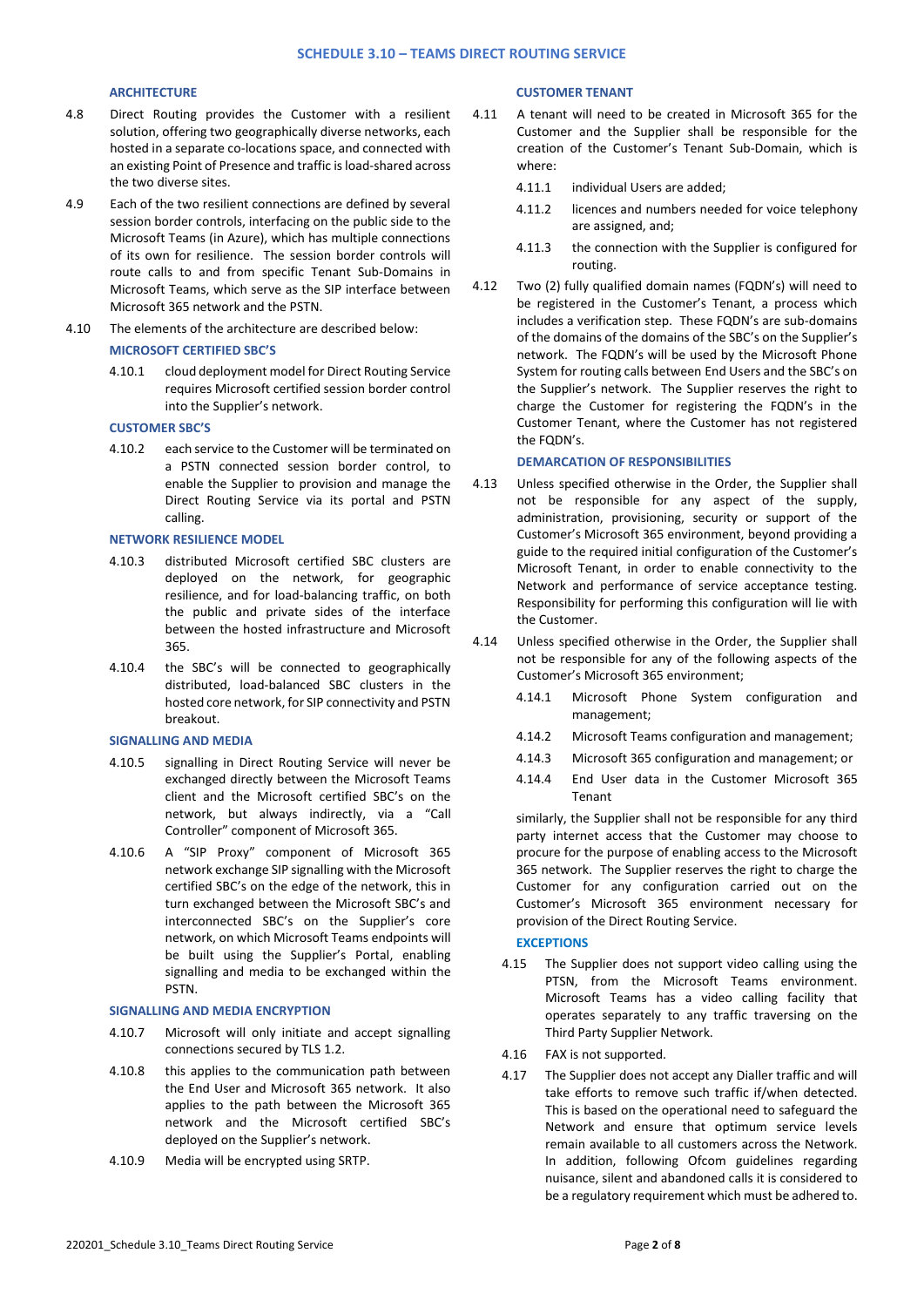# **ARCHITECTURE**

- 4.8 Direct Routing provides the Customer with a resilient solution, offering two geographically diverse networks, each hosted in a separate co-locations space, and connected with an existing Point of Presence and traffic is load-shared across the two diverse sites.
- 4.9 Each of the two resilient connections are defined by several session border controls, interfacing on the public side to the Microsoft Teams (in Azure), which has multiple connections of its own for resilience. The session border controls will route calls to and from specific Tenant Sub-Domains in Microsoft Teams, which serve as the SIP interface between Microsoft 365 network and the PSTN.
- 4.10 The elements of the architecture are described below:

#### **MICROSOFT CERTIFIED SBC'S**

4.10.1 cloud deployment model for Direct Routing Service requires Microsoft certified session border control into the Supplier's network.

#### **CUSTOMER SBC'S**

4.10.2 each service to the Customer will be terminated on a PSTN connected session border control, to enable the Supplier to provision and manage the Direct Routing Service via its portal and PSTN calling.

#### **NETWORK RESILIENCE MODEL**

- 4.10.3 distributed Microsoft certified SBC clusters are deployed on the network, for geographic resilience, and for load-balancing traffic, on both the public and private sides of the interface between the hosted infrastructure and Microsoft 365.
- 4.10.4 the SBC's will be connected to geographically distributed, load-balanced SBC clusters in the hosted core network, for SIP connectivity and PSTN breakout.

#### **SIGNALLING AND MEDIA**

- 4.10.5 signalling in Direct Routing Service will never be exchanged directly between the Microsoft Teams client and the Microsoft certified SBC's on the network, but always indirectly, via a "Call Controller" component of Microsoft 365.
- 4.10.6 A "SIP Proxy" component of Microsoft 365 network exchange SIP signalling with the Microsoft certified SBC's on the edge of the network, this in turn exchanged between the Microsoft SBC's and interconnected SBC's on the Supplier's core network, on which Microsoft Teams endpoints will be built using the Supplier's Portal, enabling signalling and media to be exchanged within the PSTN.

#### **SIGNALLING AND MEDIA ENCRYPTION**

- 4.10.7 Microsoft will only initiate and accept signalling connections secured by TLS 1.2.
- 4.10.8 this applies to the communication path between the End User and Microsoft 365 network. It also applies to the path between the Microsoft 365 network and the Microsoft certified SBC's deployed on the Supplier's network.
- 4.10.9 Media will be encrypted using SRTP.

## **CUSTOMER TENANT**

- 4.11 A tenant will need to be created in Microsoft 365 for the Customer and the Supplier shall be responsible for the creation of the Customer's Tenant Sub-Domain, which is where:
	- 4.11.1 individual Users are added;
	- 4.11.2 licences and numbers needed for voice telephony are assigned, and;
	- 4.11.3 the connection with the Supplier is configured for routing.
- 4.12 Two (2) fully qualified domain names (FQDN's) will need to be registered in the Customer's Tenant, a process which includes a verification step. These FQDN's are sub-domains of the domains of the domains of the SBC's on the Supplier's network. The FQDN's will be used by the Microsoft Phone System for routing calls between End Users and the SBC's on the Supplier's network. The Supplier reserves the right to charge the Customer for registering the FQDN's in the Customer Tenant, where the Customer has not registered the FODN's

#### **DEMARCATION OF RESPONSIBILITIES**

- 4.13 Unless specified otherwise in the Order, the Supplier shall not be responsible for any aspect of the supply, administration, provisioning, security or support of the Customer's Microsoft 365 environment, beyond providing a guide to the required initial configuration of the Customer's Microsoft Tenant, in order to enable connectivity to the Network and performance of service acceptance testing. Responsibility for performing this configuration will lie with the Customer.
- 4.14 Unless specified otherwise in the Order, the Supplier shall not be responsible for any of the following aspects of the Customer's Microsoft 365 environment;
	- 4.14.1 Microsoft Phone System configuration and management;
	- 4.14.2 Microsoft Teams configuration and management;
	- 4.14.3 Microsoft 365 configuration and management; or
	- 4.14.4 End User data in the Customer Microsoft 365 Tenant

similarly, the Supplier shall not be responsible for any third party internet access that the Customer may choose to procure for the purpose of enabling access to the Microsoft 365 network. The Supplier reserves the right to charge the Customer for any configuration carried out on the Customer's Microsoft 365 environment necessary for provision of the Direct Routing Service.

#### **EXCEPTIONS**

- 4.15 The Supplier does not support video calling using the PTSN, from the Microsoft Teams environment. Microsoft Teams has a video calling facility that operates separately to any traffic traversing on the Third Party Supplier Network.
- 4.16 FAX is not supported.
- 4.17 The Supplier does not accept any Dialler traffic and will take efforts to remove such traffic if/when detected. This is based on the operational need to safeguard the Network and ensure that optimum service levels remain available to all customers across the Network. In addition, following Ofcom guidelines regarding nuisance, silent and abandoned calls it is considered to be a regulatory requirement which must be adhered to.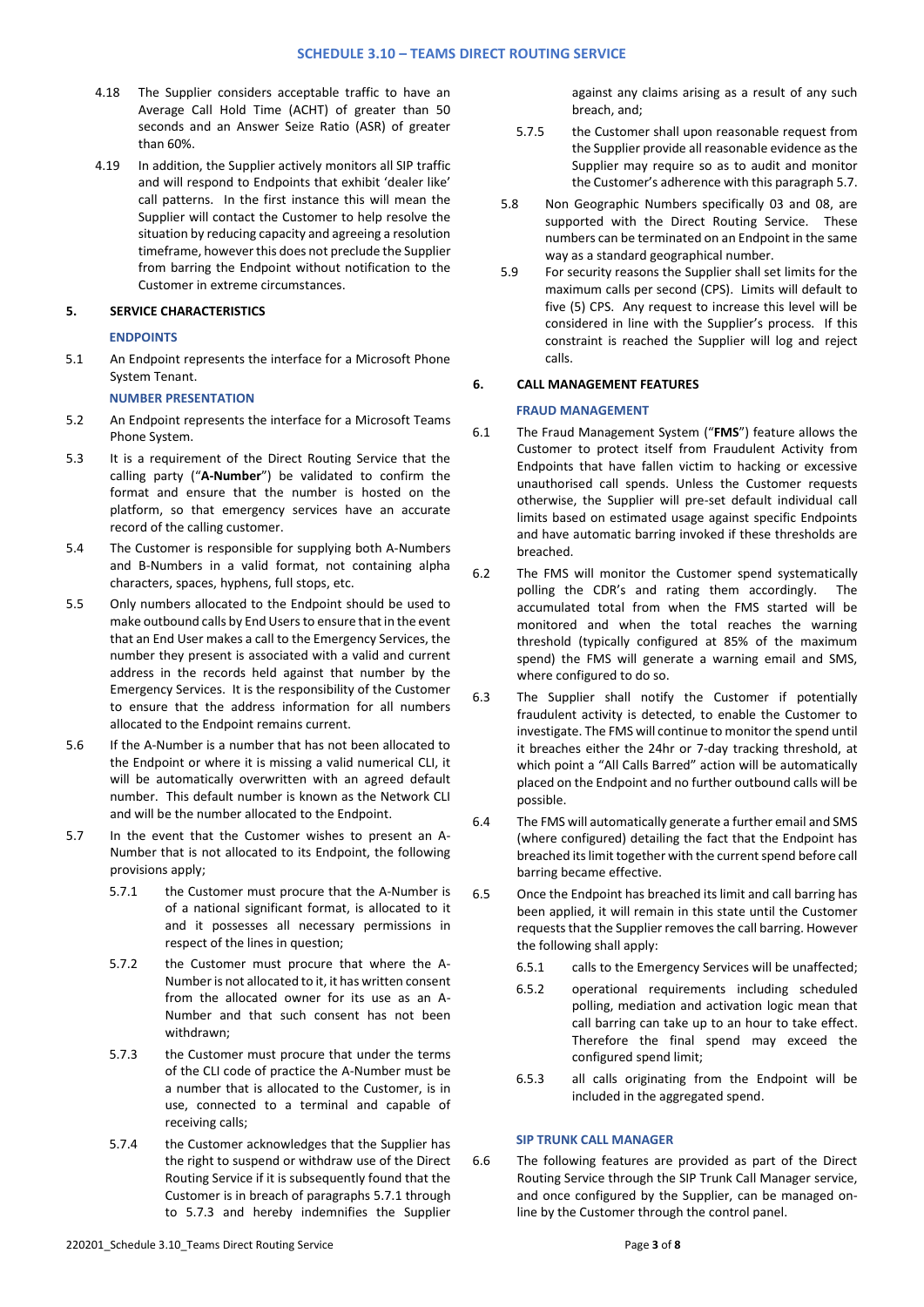- 4.18 The Supplier considers acceptable traffic to have an Average Call Hold Time (ACHT) of greater than 50 seconds and an Answer Seize Ratio (ASR) of greater than 60%.
- 4.19 In addition, the Supplier actively monitors all SIP traffic and will respond to Endpoints that exhibit 'dealer like' call patterns. In the first instance this will mean the Supplier will contact the Customer to help resolve the situation by reducing capacity and agreeing a resolution timeframe, however this does not preclude the Supplier from barring the Endpoint without notification to the Customer in extreme circumstances.

## **5. SERVICE CHARACTERISTICS**

### **ENDPOINTS**

5.1 An Endpoint represents the interface for a Microsoft Phone System Tenant.

# **NUMBER PRESENTATION**

- 5.2 An Endpoint represents the interface for a Microsoft Teams Phone System.
- 5.3 It is a requirement of the Direct Routing Service that the calling party ("**A-Number**") be validated to confirm the format and ensure that the number is hosted on the platform, so that emergency services have an accurate record of the calling customer.
- 5.4 The Customer is responsible for supplying both A-Numbers and B-Numbers in a valid format, not containing alpha characters, spaces, hyphens, full stops, etc.
- 5.5 Only numbers allocated to the Endpoint should be used to make outbound calls by End Users to ensure that in the event that an End User makes a call to the Emergency Services, the number they present is associated with a valid and current address in the records held against that number by the Emergency Services. It is the responsibility of the Customer to ensure that the address information for all numbers allocated to the Endpoint remains current.
- 5.6 If the A-Number is a number that has not been allocated to the Endpoint or where it is missing a valid numerical CLI, it will be automatically overwritten with an agreed default number. This default number is known as the Network CLI and will be the number allocated to the Endpoint.
- 5.7 In the event that the Customer wishes to present an A-Number that is not allocated to its Endpoint, the following provisions apply;
	- 5.7.1 the Customer must procure that the A-Number is of a national significant format, is allocated to it and it possesses all necessary permissions in respect of the lines in question;
	- 5.7.2 the Customer must procure that where the A-Number is not allocated to it, it has written consent from the allocated owner for its use as an A-Number and that such consent has not been withdrawn;
	- 5.7.3 the Customer must procure that under the terms of the CLI code of practice the A-Number must be a number that is allocated to the Customer, is in use, connected to a terminal and capable of receiving calls;
	- 5.7.4 the Customer acknowledges that the Supplier has the right to suspend or withdraw use of the Direct Routing Service if it is subsequently found that the Customer is in breach of paragraphs 5.7.1 through to 5.7.3 and hereby indemnifies the Supplier

against any claims arising as a result of any such breach, and;

- 5.7.5 the Customer shall upon reasonable request from the Supplier provide all reasonable evidence as the Supplier may require so as to audit and monitor the Customer's adherence with this paragraph 5.7.
- 5.8 Non Geographic Numbers specifically 03 and 08, are supported with the Direct Routing Service. These numbers can be terminated on an Endpoint in the same way as a standard geographical number.
- 5.9 For security reasons the Supplier shall set limits for the maximum calls per second (CPS). Limits will default to five (5) CPS. Any request to increase this level will be considered in line with the Supplier's process. If this constraint is reached the Supplier will log and reject calls.

### **6. CALL MANAGEMENT FEATURES**

### **FRAUD MANAGEMENT**

- 6.1 The Fraud Management System ("**FMS**") feature allows the Customer to protect itself from Fraudulent Activity from Endpoints that have fallen victim to hacking or excessive unauthorised call spends. Unless the Customer requests otherwise, the Supplier will pre-set default individual call limits based on estimated usage against specific Endpoints and have automatic barring invoked if these thresholds are breached.
- 6.2 The FMS will monitor the Customer spend systematically polling the CDR's and rating them accordingly. The accumulated total from when the FMS started will be monitored and when the total reaches the warning threshold (typically configured at 85% of the maximum spend) the FMS will generate a warning email and SMS, where configured to do so.
- 6.3 The Supplier shall notify the Customer if potentially fraudulent activity is detected, to enable the Customer to investigate. The FMS will continue to monitor the spend until it breaches either the 24hr or 7-day tracking threshold, at which point a "All Calls Barred" action will be automatically placed on the Endpoint and no further outbound calls will be possible.
- 6.4 The FMS will automatically generate a further email and SMS (where configured) detailing the fact that the Endpoint has breached its limit together with the current spend before call barring became effective.
- 6.5 Once the Endpoint has breached its limit and call barring has been applied, it will remain in this state until the Customer requests that the Supplier removes the call barring. However the following shall apply:
	- 6.5.1 calls to the Emergency Services will be unaffected;
	- 6.5.2 operational requirements including scheduled polling, mediation and activation logic mean that call barring can take up to an hour to take effect. Therefore the final spend may exceed the configured spend limit;
	- 6.5.3 all calls originating from the Endpoint will be included in the aggregated spend.

#### **SIP TRUNK CALL MANAGER**

6.6 The following features are provided as part of the Direct Routing Service through the SIP Trunk Call Manager service, and once configured by the Supplier, can be managed online by the Customer through the control panel.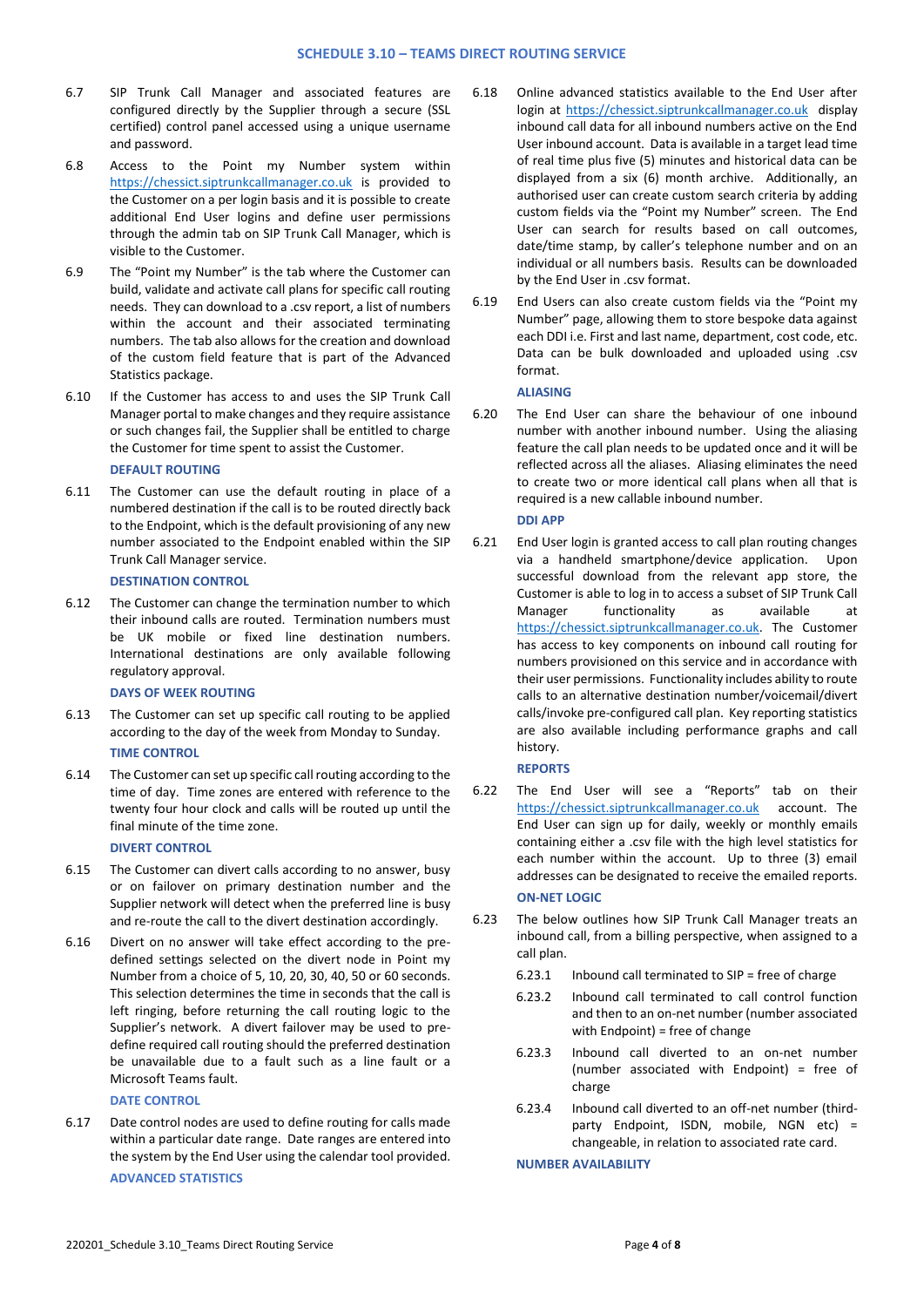- 6.7 SIP Trunk Call Manager and associated features are configured directly by the Supplier through a secure (SSL certified) control panel accessed using a unique username and password.
- 6.8 Access to the Point my Number system within [https://chessict.siptrunkcallmanager.co.uk](https://chessict.siptrunkcallmanager.co.uk/) is provided to the Customer on a per login basis and it is possible to create additional End User logins and define user permissions through the admin tab on SIP Trunk Call Manager, which is visible to the Customer.
- 6.9 The "Point my Number" is the tab where the Customer can build, validate and activate call plans for specific call routing needs. They can download to a .csv report, a list of numbers within the account and their associated terminating numbers. The tab also allows for the creation and download of the custom field feature that is part of the Advanced Statistics package.
- 6.10 If the Customer has access to and uses the SIP Trunk Call Manager portal to make changes and they require assistance or such changes fail, the Supplier shall be entitled to charge the Customer for time spent to assist the Customer.

# **DEFAULT ROUTING**

6.11 The Customer can use the default routing in place of a numbered destination if the call is to be routed directly back to the Endpoint, which is the default provisioning of any new number associated to the Endpoint enabled within the SIP Trunk Call Manager service.

#### **DESTINATION CONTROL**

6.12 The Customer can change the termination number to which their inbound calls are routed. Termination numbers must be UK mobile or fixed line destination numbers. International destinations are only available following regulatory approval.

### **DAYS OF WEEK ROUTING**

- 6.13 The Customer can set up specific call routing to be applied according to the day of the week from Monday to Sunday. **TIME CONTROL**
- 6.14 The Customer can set up specific call routing according to the time of day. Time zones are entered with reference to the twenty four hour clock and calls will be routed up until the final minute of the time zone.

#### **DIVERT CONTROL**

- 6.15 The Customer can divert calls according to no answer, busy or on failover on primary destination number and the Supplier network will detect when the preferred line is busy and re-route the call to the divert destination accordingly.
- 6.16 Divert on no answer will take effect according to the predefined settings selected on the divert node in Point my Number from a choice of 5, 10, 20, 30, 40, 50 or 60 seconds. This selection determines the time in seconds that the call is left ringing, before returning the call routing logic to the Supplier's network. A divert failover may be used to predefine required call routing should the preferred destination be unavailable due to a fault such as a line fault or a Microsoft Teams fault.

#### **DATE CONTROL**

6.17 Date control nodes are used to define routing for calls made within a particular date range. Date ranges are entered into the system by the End User using the calendar tool provided. **ADVANCED STATISTICS**

- 6.18 Online advanced statistics available to the End User after login at [https://chessict.siptrunkcallmanager.co.uk](https://chessict.siptrunkcallmanager.co.uk/) display inbound call data for all inbound numbers active on the End User inbound account. Data is available in a target lead time of real time plus five (5) minutes and historical data can be displayed from a six (6) month archive. Additionally, an authorised user can create custom search criteria by adding custom fields via the "Point my Number" screen. The End User can search for results based on call outcomes, date/time stamp, by caller's telephone number and on an individual or all numbers basis. Results can be downloaded by the End User in .csv format.
- 6.19 End Users can also create custom fields via the "Point my Number" page, allowing them to store bespoke data against each DDI i.e. First and last name, department, cost code, etc. Data can be bulk downloaded and uploaded using .csv format.

#### **ALIASING**

6.20 The End User can share the behaviour of one inbound number with another inbound number. Using the aliasing feature the call plan needs to be updated once and it will be reflected across all the aliases. Aliasing eliminates the need to create two or more identical call plans when all that is required is a new callable inbound number.

## **DDI APP**

6.21 End User login is granted access to call plan routing changes via a handheld smartphone/device application. Upon successful download from the relevant app store, the Customer is able to log in to access a subset of SIP Trunk Call Manager functionality as available at [https://chessict.siptrunkcallmanager.co.uk.](https://chessict.siptrunkcallmanager.co.uk/) The Customer has access to key components on inbound call routing for numbers provisioned on this service and in accordance with their user permissions. Functionality includes ability to route calls to an alternative destination number/voicemail/divert calls/invoke pre-configured call plan. Key reporting statistics are also available including performance graphs and call history.

#### **REPORTS**

- 6.22 The End User will see a "Reports" tab on their [https://chessict.siptrunkcallmanager.co.uk](https://chessict.siptrunkcallmanager.co.uk/) account. The End User can sign up for daily, weekly or monthly emails containing either a .csv file with the high level statistics for each number within the account. Up to three (3) email addresses can be designated to receive the emailed reports. **ON-NET LOGIC**
- 6.23 The below outlines how SIP Trunk Call Manager treats an inbound call, from a billing perspective, when assigned to a call plan.
	- 6.23.1 Inbound call terminated to SIP = free of charge
	- 6.23.2 Inbound call terminated to call control function and then to an on-net number (number associated with Endpoint) = free of change
	- 6.23.3 Inbound call diverted to an on-net number (number associated with Endpoint) = free of charge
	- 6.23.4 Inbound call diverted to an off-net number (thirdparty Endpoint, ISDN, mobile, NGN etc) = changeable, in relation to associated rate card.

### **NUMBER AVAILABILITY**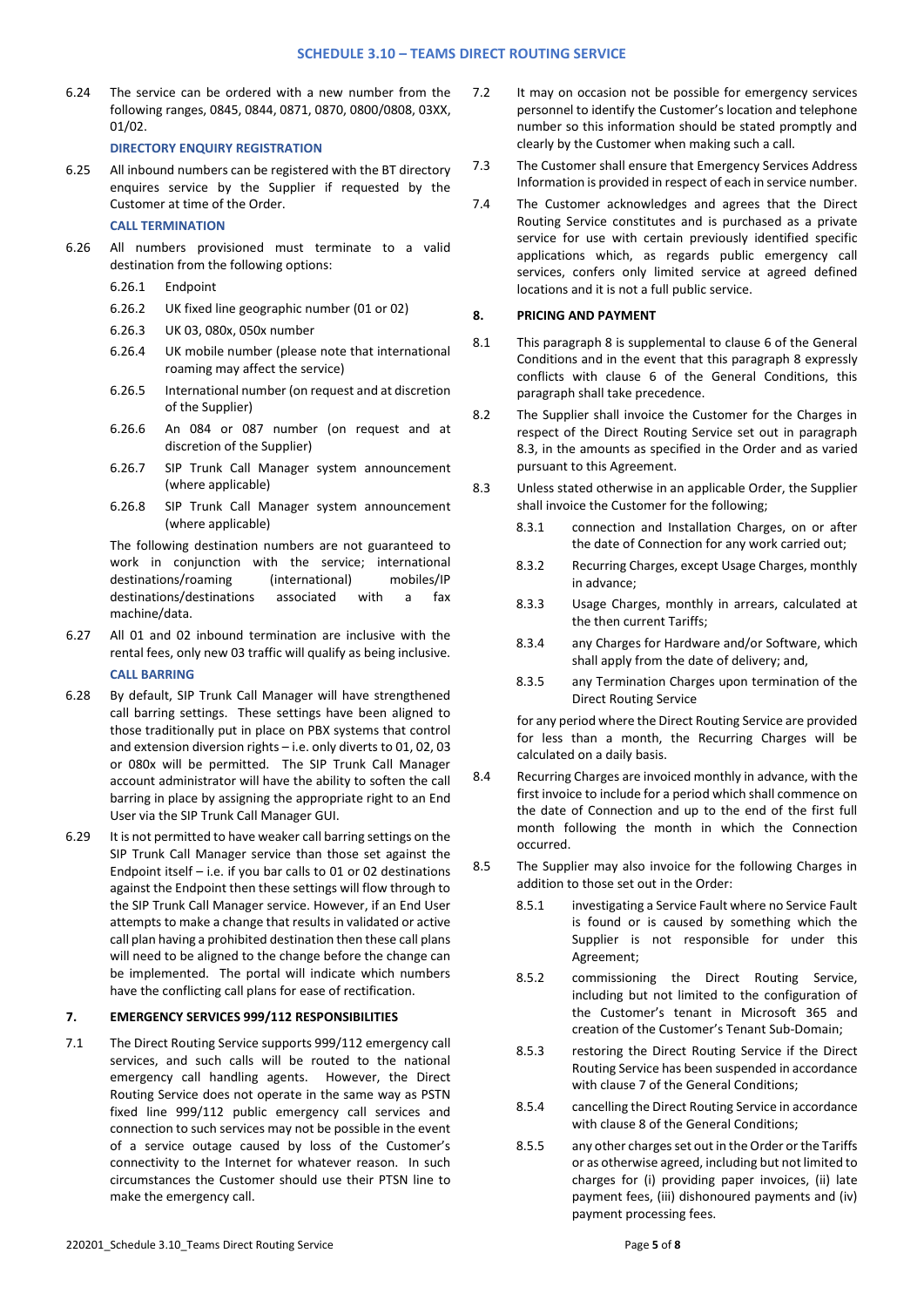6.24 The service can be ordered with a new number from the following ranges, 0845, 0844, 0871, 0870, 0800/0808, 03XX, 01/02.

**DIRECTORY ENQUIRY REGISTRATION**

- 6.25 All inbound numbers can be registered with the BT directory enquires service by the Supplier if requested by the Customer at time of the Order. **CALL TERMINATION**
- 6.26 All numbers provisioned must terminate to a valid destination from the following options:
	- 6.26.1 Endpoint
	- 6.26.2 UK fixed line geographic number (01 or 02)
	- 6.26.3 UK 03, 080x, 050x number
	- 6.26.4 UK mobile number (please note that international roaming may affect the service)
	- 6.26.5 International number (on request and at discretion of the Supplier)
	- 6.26.6 An 084 or 087 number (on request and at discretion of the Supplier)
	- 6.26.7 SIP Trunk Call Manager system announcement (where applicable)
	- 6.26.8 SIP Trunk Call Manager system announcement (where applicable)

The following destination numbers are not guaranteed to work in conjunction with the service; international destinations/roaming (international) mobiles/IP destinations/destinations associated with a fax machine/data.

- 6.27 All 01 and 02 inbound termination are inclusive with the rental fees, only new 03 traffic will qualify as being inclusive. **CALL BARRING**
- 6.28 By default, SIP Trunk Call Manager will have strengthened call barring settings. These settings have been aligned to those traditionally put in place on PBX systems that control and extension diversion rights – i.e. only diverts to 01, 02, 03 or 080x will be permitted. The SIP Trunk Call Manager account administrator will have the ability to soften the call barring in place by assigning the appropriate right to an End User via the SIP Trunk Call Manager GUI.
- 6.29 It is not permitted to have weaker call barring settings on the SIP Trunk Call Manager service than those set against the Endpoint itself – i.e. if you bar calls to 01 or 02 destinations against the Endpoint then these settings will flow through to the SIP Trunk Call Manager service. However, if an End User attempts to make a change that results in validated or active call plan having a prohibited destination then these call plans will need to be aligned to the change before the change can be implemented. The portal will indicate which numbers have the conflicting call plans for ease of rectification.

## **7. EMERGENCY SERVICES 999/112 RESPONSIBILITIES**

7.1 The Direct Routing Service supports 999/112 emergency call services, and such calls will be routed to the national emergency call handling agents. However, the Direct Routing Service does not operate in the same way as PSTN fixed line 999/112 public emergency call services and connection to such services may not be possible in the event of a service outage caused by loss of the Customer's connectivity to the Internet for whatever reason. In such circumstances the Customer should use their PTSN line to make the emergency call.

- 7.2 It may on occasion not be possible for emergency services personnel to identify the Customer's location and telephone number so this information should be stated promptly and clearly by the Customer when making such a call.
- 7.3 The Customer shall ensure that Emergency Services Address Information is provided in respect of each in service number.
- 7.4 The Customer acknowledges and agrees that the Direct Routing Service constitutes and is purchased as a private service for use with certain previously identified specific applications which, as regards public emergency call services, confers only limited service at agreed defined locations and it is not a full public service.

### **8. PRICING AND PAYMENT**

- 8.1 This paragraph 8 is supplemental to clause 6 of the General Conditions and in the event that this paragraph 8 expressly conflicts with clause 6 of the General Conditions, this paragraph shall take precedence.
- 8.2 The Supplier shall invoice the Customer for the Charges in respect of the Direct Routing Service set out in paragraph 8.3, in the amounts as specified in the Order and as varied pursuant to this Agreement.
- 8.3 Unless stated otherwise in an applicable Order, the Supplier shall invoice the Customer for the following;
	- 8.3.1 connection and Installation Charges, on or after the date of Connection for any work carried out;
	- 8.3.2 Recurring Charges, except Usage Charges, monthly in advance;
	- 8.3.3 Usage Charges, monthly in arrears, calculated at the then current Tariffs;
	- 8.3.4 any Charges for Hardware and/or Software, which shall apply from the date of delivery; and,
	- 8.3.5 any Termination Charges upon termination of the Direct Routing Service

for any period where the Direct Routing Service are provided for less than a month, the Recurring Charges will be calculated on a daily basis.

- 8.4 Recurring Charges are invoiced monthly in advance, with the first invoice to include for a period which shall commence on the date of Connection and up to the end of the first full month following the month in which the Connection occurred.
- 8.5 The Supplier may also invoice for the following Charges in addition to those set out in the Order:
	- 8.5.1 investigating a Service Fault where no Service Fault is found or is caused by something which the Supplier is not responsible for under this Agreement;
	- 8.5.2 commissioning the Direct Routing Service, including but not limited to the configuration of the Customer's tenant in Microsoft 365 and creation of the Customer's Tenant Sub-Domain;
	- 8.5.3 restoring the Direct Routing Service if the Direct Routing Service has been suspended in accordance with clause 7 of the General Conditions;
	- 8.5.4 cancelling the Direct Routing Service in accordance with clause 8 of the General Conditions;
	- 8.5.5 any other charges set out in the Order or the Tariffs or as otherwise agreed, including but not limited to charges for (i) providing paper invoices, (ii) late payment fees, (iii) dishonoured payments and (iv) payment processing fees.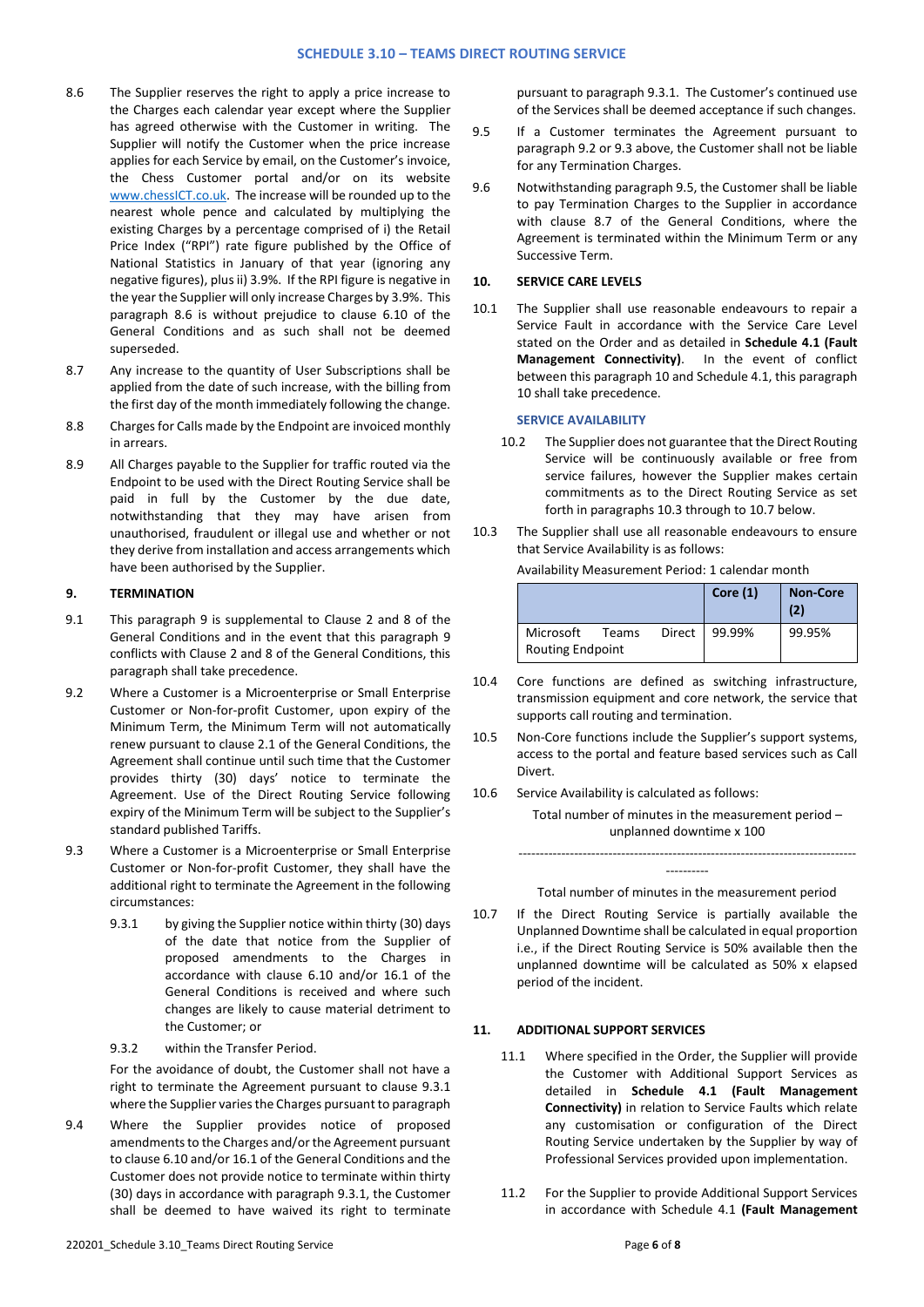- 8.6 The Supplier reserves the right to apply a price increase to the Charges each calendar year except where the Supplier has agreed otherwise with the Customer in writing. The Supplier will notify the Customer when the price increase applies for each Service by email, on the Customer's invoice, the Chess Customer portal and/or on its website [www.chessICT.co.uk.](http://www.chessict.co.uk/) The increase will be rounded up to the nearest whole pence and calculated by multiplying the existing Charges by a percentage comprised of i) the Retail Price Index ("RPI") rate figure published by the Office of National Statistics in January of that year (ignoring any negative figures), plus ii) 3.9%. If the RPI figure is negative in the year the Supplier will only increase Charges by 3.9%. This paragraph 8.6 is without prejudice to clause 6.10 of the General Conditions and as such shall not be deemed superseded.
- 8.7 Any increase to the quantity of User Subscriptions shall be applied from the date of such increase, with the billing from the first day of the month immediately following the change.
- 8.8 Charges for Calls made by the Endpoint are invoiced monthly in arrears.
- 8.9 All Charges payable to the Supplier for traffic routed via the Endpoint to be used with the Direct Routing Service shall be paid in full by the Customer by the due date, notwithstanding that they may have arisen from unauthorised, fraudulent or illegal use and whether or not they derive from installation and access arrangements which have been authorised by the Supplier.

#### **9. TERMINATION**

- 9.1 This paragraph 9 is supplemental to Clause 2 and 8 of the General Conditions and in the event that this paragraph 9 conflicts with Clause 2 and 8 of the General Conditions, this paragraph shall take precedence.
- 9.2 Where a Customer is a Microenterprise or Small Enterprise Customer or Non-for-profit Customer, upon expiry of the Minimum Term, the Minimum Term will not automatically renew pursuant to clause 2.1 of the General Conditions, the Agreement shall continue until such time that the Customer provides thirty (30) days' notice to terminate the Agreement. Use of the Direct Routing Service following expiry of the Minimum Term will be subject to the Supplier's standard published Tariffs.
- 9.3 Where a Customer is a Microenterprise or Small Enterprise Customer or Non-for-profit Customer, they shall have the additional right to terminate the Agreement in the following circumstances:
	- 9.3.1 by giving the Supplier notice within thirty (30) days of the date that notice from the Supplier of proposed amendments to the Charges in accordance with clause 6.10 and/or 16.1 of the General Conditions is received and where such changes are likely to cause material detriment to the Customer; or
	- 9.3.2 within the Transfer Period.

For the avoidance of doubt, the Customer shall not have a right to terminate the Agreement pursuant to clause 9.3.1 where the Supplier varies the Charges pursuant to paragraph

9.4 Where the Supplier provides notice of proposed amendments to the Charges and/or the Agreement pursuant to clause 6.10 and/or 16.1 of the General Conditions and the Customer does not provide notice to terminate within thirty (30) days in accordance with paragraph 9.3.1, the Customer shall be deemed to have waived its right to terminate

pursuant to paragraph 9.3.1. The Customer's continued use of the Services shall be deemed acceptance if such changes.

- 9.5 If a Customer terminates the Agreement pursuant to paragraph 9.2 or 9.3 above, the Customer shall not be liable for any Termination Charges.
- 9.6 Notwithstanding paragraph 9.5, the Customer shall be liable to pay Termination Charges to the Supplier in accordance with clause 8.7 of the General Conditions, where the Agreement is terminated within the Minimum Term or any Successive Term.

#### **10. SERVICE CARE LEVELS**

10.1 The Supplier shall use reasonable endeavours to repair a Service Fault in accordance with the Service Care Level stated on the Order and as detailed in **Schedule 4.1 (Fault Management Connectivity)**. In the event of conflict between this paragraph 10 and Schedule 4.1, this paragraph 10 shall take precedence.

#### **SERVICE AVAILABILITY**

- 10.2 The Supplier does not guarantee that the Direct Routing Service will be continuously available or free from service failures, however the Supplier makes certain commitments as to the Direct Routing Service as set forth in paragraphs 10.3 through to 10.7 below.
- 10.3 The Supplier shall use all reasonable endeavours to ensure that Service Availability is as follows: Availability Measurement Period: 1 calendar month

|                                                         |  |        | Core $(1)$ | <b>Non-Core</b><br>(2) |
|---------------------------------------------------------|--|--------|------------|------------------------|
| Microsoft<br>Direct<br>Teams<br><b>Routing Endpoint</b> |  | 99.99% | 99.95%     |                        |

- 10.4 Core functions are defined as switching infrastructure, transmission equipment and core network, the service that supports call routing and termination.
- 10.5 Non-Core functions include the Supplier's support systems, access to the portal and feature based services such as Call Divert.
- 10.6 Service Availability is calculated as follows:

Total number of minutes in the measurement period – unplanned downtime x 100

---------- Total number of minutes in the measurement period

-------------------------------------------------------------------------------

10.7 If the Direct Routing Service is partially available the Unplanned Downtime shall be calculated in equal proportion i.e., if the Direct Routing Service is 50% available then the unplanned downtime will be calculated as 50% x elapsed period of the incident.

#### **11. ADDITIONAL SUPPORT SERVICES**

- 11.1 Where specified in the Order, the Supplier will provide the Customer with Additional Support Services as detailed in **Schedule 4.1 (Fault Management Connectivity)** in relation to Service Faults which relate any customisation or configuration of the Direct Routing Service undertaken by the Supplier by way of Professional Services provided upon implementation.
- 11.2 For the Supplier to provide Additional Support Services in accordance with Schedule 4.1 **(Fault Management**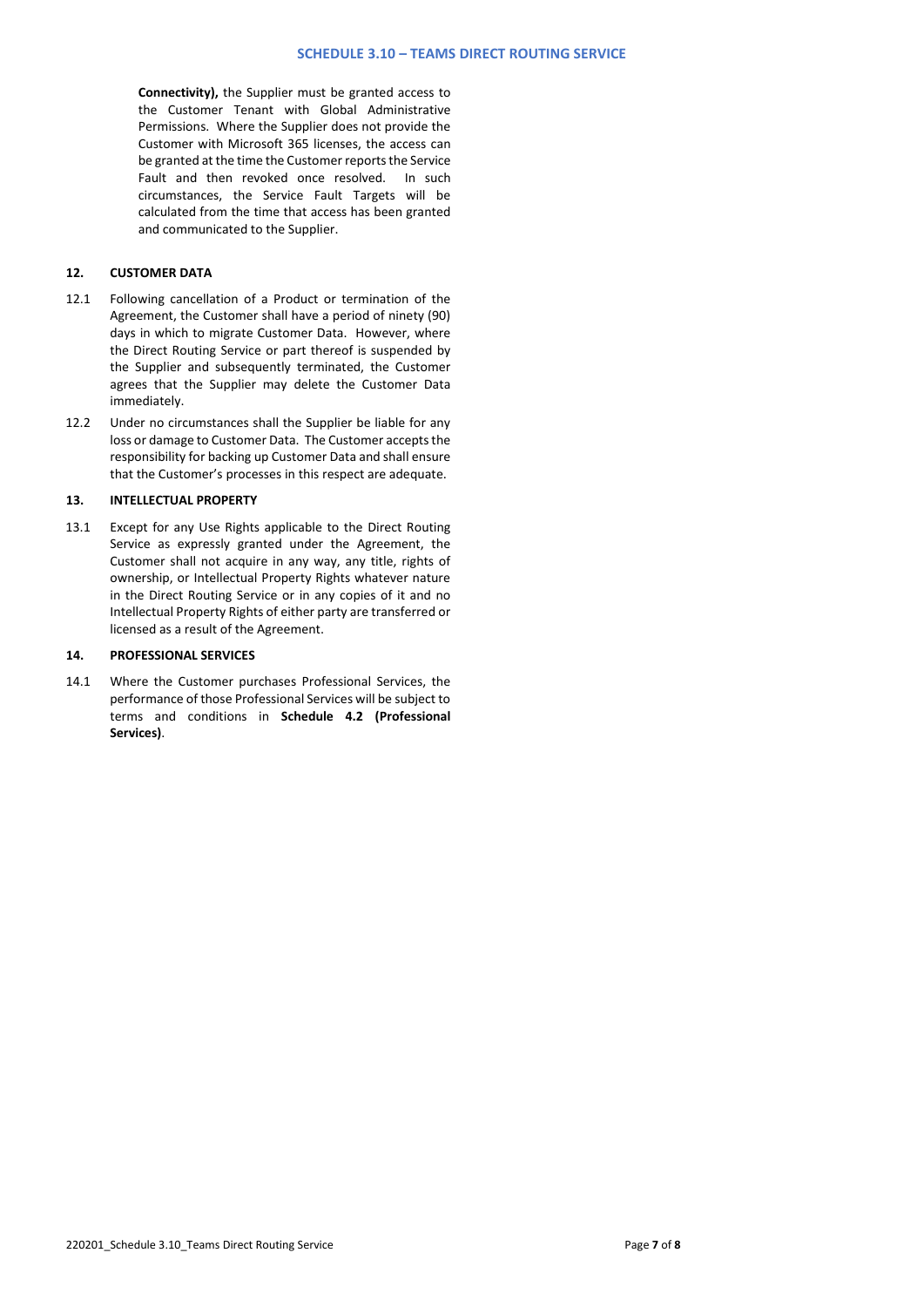**Connectivity),** the Supplier must be granted access to the Customer Tenant with Global Administrative Permissions. Where the Supplier does not provide the Customer with Microsoft 365 licenses, the access can be granted at the time the Customer reports the Service Fault and then revoked once resolved. In such circumstances, the Service Fault Targets will be calculated from the time that access has been granted and communicated to the Supplier.

# **12. CUSTOMER DATA**

- 12.1 Following cancellation of a Product or termination of the Agreement, the Customer shall have a period of ninety (90) days in which to migrate Customer Data. However, where the Direct Routing Service or part thereof is suspended by the Supplier and subsequently terminated, the Customer agrees that the Supplier may delete the Customer Data immediately.
- 12.2 Under no circumstances shall the Supplier be liable for any loss or damage to Customer Data. The Customer accepts the responsibility for backing up Customer Data and shall ensure that the Customer's processes in this respect are adequate.

### **13. INTELLECTUAL PROPERTY**

13.1 Except for any Use Rights applicable to the Direct Routing Service as expressly granted under the Agreement, the Customer shall not acquire in any way, any title, rights of ownership, or Intellectual Property Rights whatever nature in the Direct Routing Service or in any copies of it and no Intellectual Property Rights of either party are transferred or licensed as a result of the Agreement.

# **14. PROFESSIONAL SERVICES**

14.1 Where the Customer purchases Professional Services, the performance of those Professional Services will be subject to terms and conditions in **Schedule 4.2 (Professional Services)**.